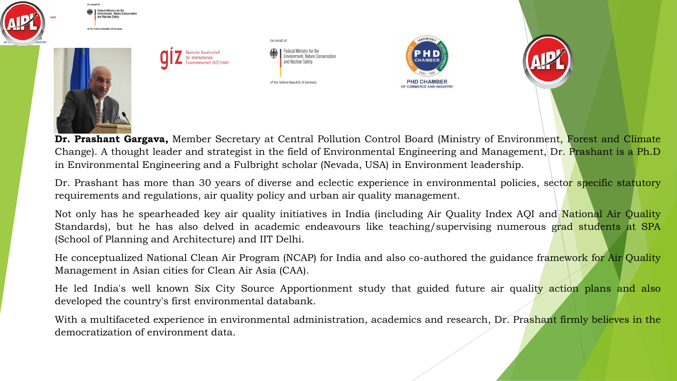

**Dr. Prashant Gargava,** Member Secretary at Central Pollution Control Board (Ministry of Environment, Forest and Climate Change). A thought leader and strategist in the field of Environmental Engineering and Management, Dr. Prashant is a Ph.D in Environmental Engineering and a Fulbright scholar (Nevada, USA) in Environment leadership.

Dr. Prashant has more than 30 years of diverse and eclectic experience in environmental policies, sector specific statutory requirements and regulations, air quality policy and urban air quality management.

Not only has he spearheaded key air quality initiatives in India (including Air Quality Index AQI and National Air Quality Standards), but he has also delved in academic endeavours like teaching/supervising numerous grad students at SPA (School of Planning and Architecture) and IIT Delhi.

He conceptualized National Clean Air Program (NCAP) for India and also co-authored the guidance framework for Air Quality Management in Asian cities for Clean Air Asia (CAA).

He led India's well known Six City Source Apportionment study that guided future air quality action plans and also developed the country's first environmental databank.

With a multifaceted experience in environmental administration, academics and research, Dr. Prashant firmly believes in the democratization of environment data.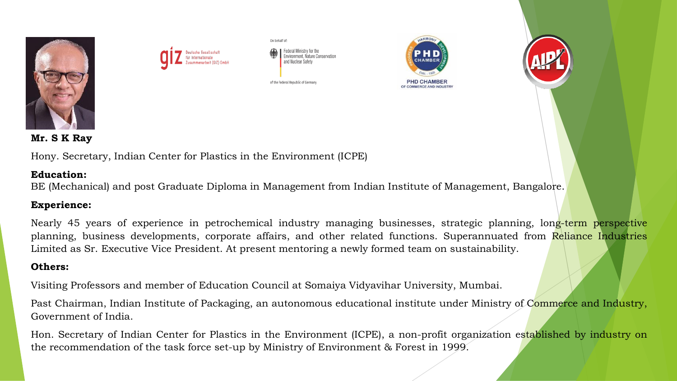



On behalf of: ironment Nature Conservation and Nuclear Safet

of the Federal Republic of Germany





**Mr. S K Ray**

Hony. Secretary, Indian Center for Plastics in the Environment (ICPE)

### **Education:**

BE (Mechanical) and post Graduate Diploma in Management from Indian Institute of Management, Bangalore.

## **Experience:**

Nearly 45 years of experience in petrochemical industry managing businesses, strategic planning, long-term perspective planning, business developments, corporate affairs, and other related functions. Superannuated from Reliance Industries Limited as Sr. Executive Vice President. At present mentoring a newly formed team on sustainability.

## **Others:**

Visiting Professors and member of Education Council at Somaiya Vidyavihar University, Mumbai.

Past Chairman, Indian Institute of Packaging, an autonomous educational institute under Ministry of Commerce and Industry, Government of India.

Hon. Secretary of Indian Center for Plastics in the Environment (ICPE), a non-profit organization established by industry on the recommendation of the task force set-up by Ministry of Environment & Forest in 1999.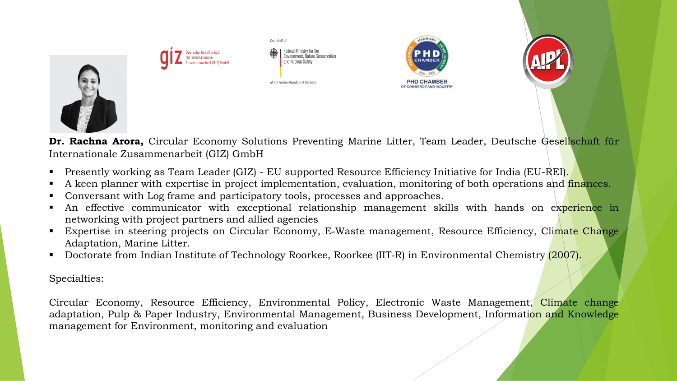

**Dr. Rachna Arora,** Circular Economy Solutions Preventing Marine Litter, Team Leader, Deutsche Gesellschaft für Internationale Zusammenarbeit (GIZ) GmbH

- **Presently working as Team Leader (GIZ) EU supported Resource Efficiency Initiative for India (EU-REI).**
- A keen planner with expertise in project implementation, evaluation, monitoring of both operations and finances.
- Conversant with Log frame and participatory tools, processes and approaches.
- An effective communicator with exceptional relationship management skills with hands on experience in networking with project partners and allied agencies
- Expertise in steering projects on Circular Economy, E-Waste management, Resource Efficiency, Climate Change Adaptation, Marine Litter.
- Doctorate from Indian Institute of Technology Roorkee, Roorkee (IIT-R) in Environmental Chemistry (2007).

Specialties:

Circular Economy, Resource Efficiency, Environmental Policy, Electronic Waste Management, Climate change adaptation, Pulp & Paper Industry, Environmental Management, Business Development, Information and Knowledge management for Environment, monitoring and evaluation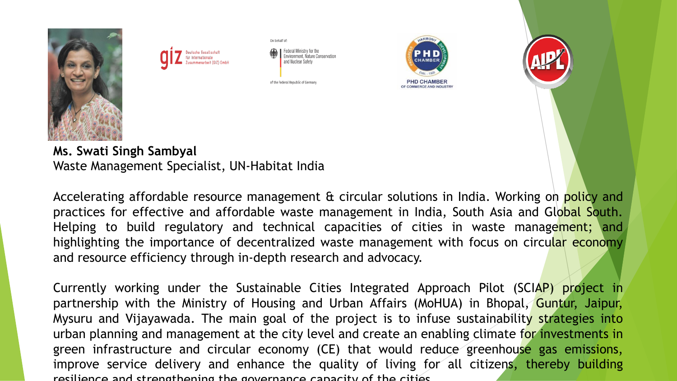



Federal Ministry for the<br>Environment, Nature Conservation and Nuclear Safety

of the Federal Republic of Germany

On behalf of:





**Ms. Swati Singh Sambyal** Waste Management Specialist, UN-Habitat India

Accelerating affordable resource management & circular solutions in India. Working on policy and practices for effective and affordable waste management in India, South Asia and Global South. Helping to build regulatory and technical capacities of cities in waste management; and highlighting the importance of decentralized waste management with focus on circular economy and resource efficiency through in-depth research and advocacy.

Currently working under the Sustainable Cities Integrated Approach Pilot (SCIAP) project in partnership with the Ministry of Housing and Urban Affairs (MoHUA) in Bhopal, Guntur, Jaipur, Mysuru and Vijayawada. The main goal of the project is to infuse sustainability strategies into urban planning and management at the city level and create an enabling climate for investments in green infrastructure and circular economy (CE) that would reduce greenhouse gas emissions, improve service delivery and enhance the quality of living for all citizens, thereby building resilience and strengthening the governance capacity of the cities.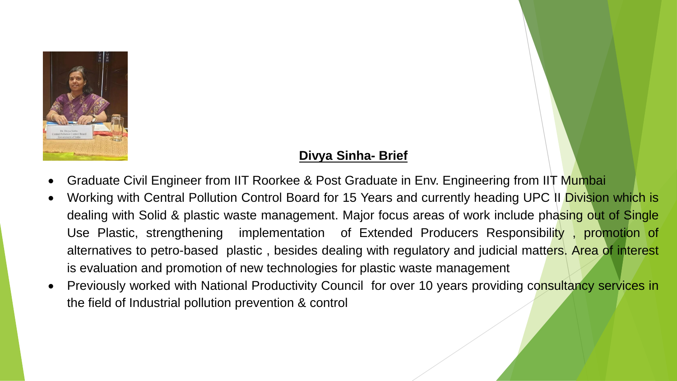

# **Divya Sinha- Brief**

- Graduate Civil Engineer from IIT Roorkee & Post Graduate in Env. Engineering from IIT Mumbai
- Working with Central Pollution Control Board for 15 Years and currently heading UPC II Division which is dealing with Solid & plastic waste management. Major focus areas of work include phasing out of Single Use Plastic, strengthening implementation of Extended Producers Responsibility, promotion of alternatives to petro-based plastic, besides dealing with regulatory and judicial matters. Area of interest is evaluation and promotion of new technologies for plastic waste management
- Previously worked with National Productivity Council for over 10 years providing consultancy services in the field of Industrial pollution prevention & control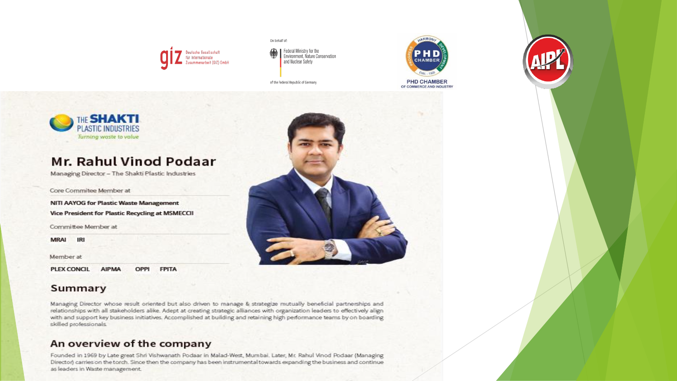

On behalf of:

Federal Ministry for the<br>Environment, Nature Conservation 叅 and Nuclear Safety

of the Federal Republic of Germany



**PHD CHAMBER** OF COMMERCE AND INDUSTRY



# Mr. Rahul Vinod Podaar

Managing Director - The Shakti Plastic Industries

Core Commitee Member at

NITI AAYOG for Plastic Waste Management Vice President for Plastic Recycling at MSMECCII

Committee Member at

**MRAI** IRI

Member at

**PLEX CONCIL AIPMA** OPPI **FPITA** 

#### Summary



Managing Director whose result oriented but also driven to manage & strategize mutually beneficial partnerships and relationships with all stakeholders alike. Adept at creating strategic alliances with organization leaders to effectively align with and support key business initiatives. Accomplished at building and retaining high performance teams by on boarding skilled professionals.

### An overview of the company

Founded in 1969 by Late great Shri Vishwanath Podaar in Malad-West, Mumbai. Later, Mr. Rahul Vinod Podaar (Managing Director) carries on the torch. Since then the company has been instrumental towards expanding the business and continue as leaders in Waste management.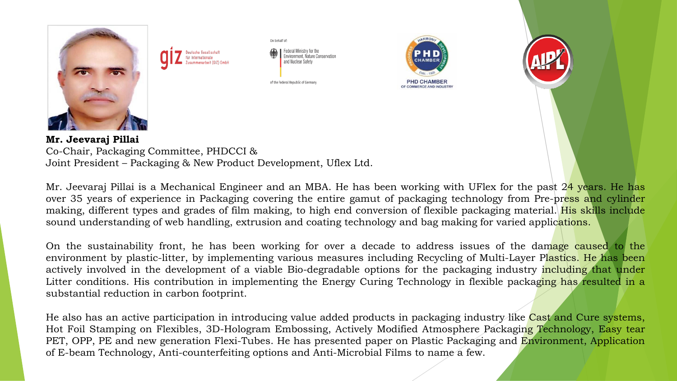

Joint President – Packaging & New Product Development, Uflex Ltd.

Mr. Jeevaraj Pillai is a Mechanical Engineer and an MBA. He has been working with UFlex for the past 24 years. He has over 35 years of experience in Packaging covering the entire gamut of packaging technology from Pre-press and cylinder making, different types and grades of film making, to high end conversion of flexible packaging material. His skills include sound understanding of web handling, extrusion and coating technology and bag making for varied applications.

On the sustainability front, he has been working for over a decade to address issues of the damage caused to the environment by plastic-litter, by implementing various measures including Recycling of Multi-Layer Plastics. He has been actively involved in the development of a viable Bio-degradable options for the packaging industry including that under Litter conditions. His contribution in implementing the Energy Curing Technology in flexible packaging has resulted in a substantial reduction in carbon footprint.

He also has an active participation in introducing value added products in packaging industry like Cast and Cure systems, Hot Foil Stamping on Flexibles, 3D-Hologram Embossing, Actively Modified Atmosphere Packaging Technology, Easy tear PET, OPP, PE and new generation Flexi-Tubes. He has presented paper on Plastic Packaging and Environment, Application of E-beam Technology, Anti-counterfeiting options and Anti-Microbial Films to name a few.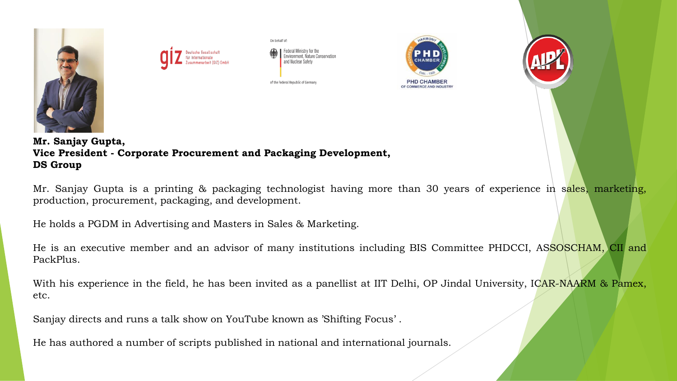



Federal Ministry for the vironment. Nature Conservation and Nuclear Safet

of the Federal Republic of Germany

On behalf of:





**Mr. Sanjay Gupta, Vice President - Corporate Procurement and Packaging Development, DS Group**

Mr. Sanjay Gupta is a printing & packaging technologist having more than 30 years of experience in sales, marketing, production, procurement, packaging, and development.

He holds a PGDM in Advertising and Masters in Sales & Marketing.

He is an executive member and an advisor of many institutions including BIS Committee PHDCCI, ASSOSCHAM, CII and PackPlus.

With his experience in the field, he has been invited as a panellist at IIT Delhi, OP Jindal University, ICAR-NAARM & Pamex, etc.

Sanjay directs and runs a talk show on YouTube known as 'Shifting Focus' .

He has authored a number of scripts published in national and international journals.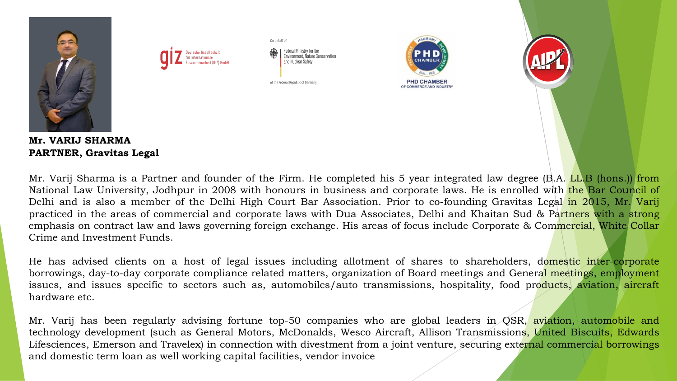

Mr. Varij Sharma is a Partner and founder of the Firm. He completed his 5 year integrated law degree (B.A. LL.B (hons.)) from National Law University, Jodhpur in 2008 with honours in business and corporate laws. He is enrolled with the Bar Council of Delhi and is also a member of the Delhi High Court Bar Association. Prior to co-founding Gravitas Legal in 2015, Mr. Varij practiced in the areas of commercial and corporate laws with Dua Associates, Delhi and Khaitan Sud & Partners with a strong emphasis on contract law and laws governing foreign exchange. His areas of focus include Corporate & Commercial, White Collar Crime and Investment Funds.

He has advised clients on a host of legal issues including allotment of shares to shareholders, domestic inter-corporate borrowings, day-to-day corporate compliance related matters, organization of Board meetings and General meetings, employment issues, and issues specific to sectors such as, automobiles/auto transmissions, hospitality, food products, aviation, aircraft hardware etc.

Mr. Varij has been regularly advising fortune top-50 companies who are global leaders in QSR, aviation, automobile and technology development (such as General Motors, McDonalds, Wesco Aircraft, Allison Transmissions, United Biscuits, Edwards Lifesciences, Emerson and Travelex) in connection with divestment from a joint venture, securing external commercial borrowings and domestic term loan as well working capital facilities, vendor invoice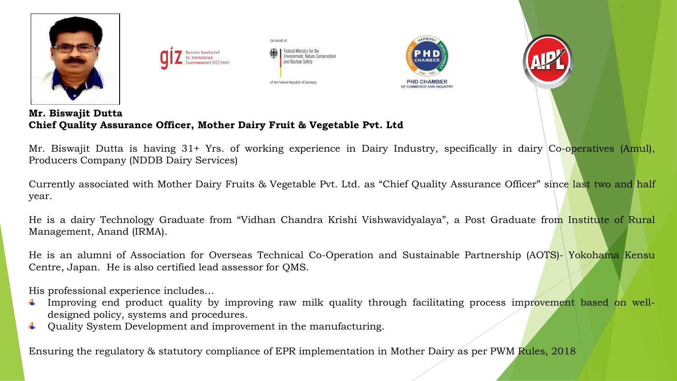

**Mr. Biswajit Dutta Chief Quality Assurance Officer, Mother Dairy Fruit & Vegetable Pvt. Ltd** 

Mr. Biswajit Dutta is having 31+ Yrs. of working experience in Dairy Industry, specifically in dairy Co-operatives (Amul), Producers Company (NDDB Dairy Services)

Currently associated with Mother Dairy Fruits & Vegetable Pvt. Ltd. as "Chief Quality Assurance Officer" since last two and half year.

He is a dairy Technology Graduate from "Vidhan Chandra Krishi Vishwavidyalaya", a Post Graduate from Institute of Rural Management, Anand (IRMA).

He is an alumni of Association for Overseas Technical Co-Operation and Sustainable Partnership (AOTS)- Yokohama Kensu Centre, Japan. He is also certified lead assessor for QMS.

His professional experience includes…

- Improving end product quality by improving raw milk quality through facilitating process improvement based on welldesigned policy, systems and procedures.
- Quality System Development and improvement in the manufacturing.

Ensuring the regulatory & statutory compliance of EPR implementation in Mother Dairy as per PWM Rules, 2018